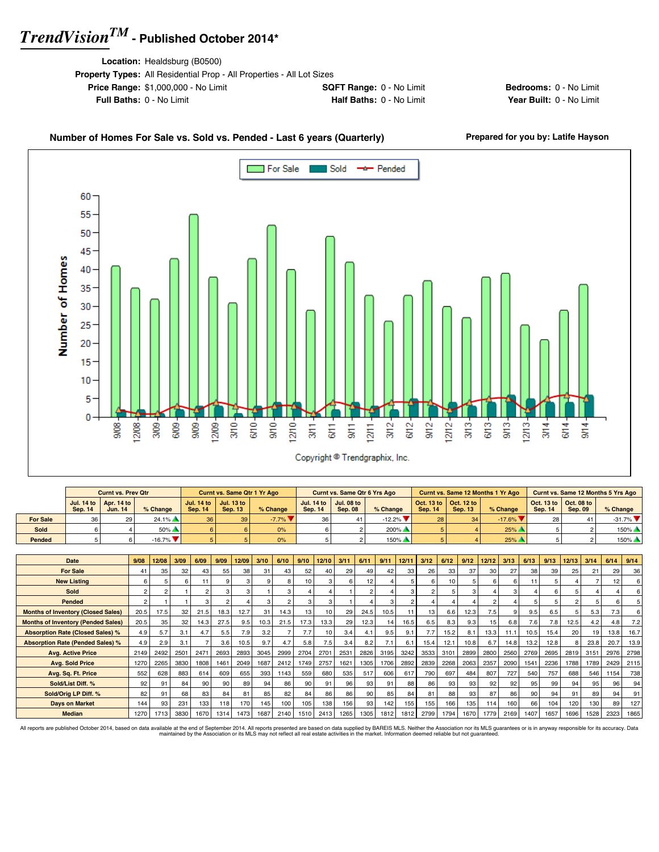**Location:** Healdsburg (B0500)

| <b>Property Types:</b> All Residential Prop - All Properties - All Lot Sizes |                                 |
|------------------------------------------------------------------------------|---------------------------------|
| <b>Price Range: \$1,000,000 - No Limit</b>                                   | <b>SQFT Range: 0 - No Limit</b> |
| <b>Full Baths: 0 - No Limit</b>                                              | <b>Half Baths: 0 - No Limit</b> |
|                                                                              |                                 |

**Bedrooms:** 0 - No Limit **Year Built: 0 - No Limit** 

#### Number of Homes For Sale vs. Sold vs. Pended - Last 6 years (Quarterly) Prepared for you by: Latife Hayson For Sale Sold -\* Pended  $60<sub>1</sub>$  $55 -$ 50 45 Number of Homes  $40<sub>1</sub>$  $35<sub>1</sub>$  $30 25<sup>°</sup>$ 20  $15<sup>°</sup>$ 10 5 ┳ 0  $1210 - 1$ 9/09- $12/09 3/10 -$ 하다<br>동  $rac{1}{25}$  $1211 9/12 1212 \frac{3}{5}$  $6/13 9/13 12/13 \frac{8}{3000}$ 12/08 3/09-6/09  $\frac{1}{30}$  $\frac{1}{5}$  $3/12$  $6/12$  $\frac{4}{5}$  $6/14$  $\frac{4}{30}$  $6/11$ Copyright <sup>®</sup> Trendgraphix, Inc.

|                 |                | <b>Curnt vs. Prev Qtr</b>                               |                          |                 | <b>Curnt vs. Same Qtr 1 Yr Ago</b>          |          |                | <b>Curnt vs. Same Qtr 6 Yrs Ago</b>                     |           |                |                                                                 | <b>Curnt vs. Same 12 Months 1 Yr Ago</b> |                |                                                         | Curnt vs. Same 12 Months 5 Yrs Ago |
|-----------------|----------------|---------------------------------------------------------|--------------------------|-----------------|---------------------------------------------|----------|----------------|---------------------------------------------------------|-----------|----------------|-----------------------------------------------------------------|------------------------------------------|----------------|---------------------------------------------------------|------------------------------------|
|                 | <b>Sep. 14</b> | Jul. 14 to $\vert$ Apr. 14 to $\vert$<br><b>Jun. 14</b> | % Change                 | <b>Sep. 14</b>  | Jul. 14 to   Jul. 13 to  <br><b>Sep. 13</b> | % Change | <b>Sep. 14</b> | Jul. 14 to $\vert$ Jul. 08 to $\vert$<br><b>Sep. 08</b> | % Change  | <b>Sep. 14</b> | $\vert$ Oct. 13 to $\vert$ Oct. 12 to $\vert$<br><b>Sep. 13</b> | $%$ Change                               | <b>Sep. 14</b> | Oct. 13 to $\vert$ Oct. 08 to $\vert$<br><b>Sep. 09</b> | $%$ Change                         |
| <b>For Sale</b> | 36             |                                                         | $24.1\%$                 | 36 <sup>1</sup> | 39                                          | $-7.7\%$ |                |                                                         | $-12.2\%$ | 28             | 34                                                              | $-17.6\%$                                | 28             | 41                                                      | $-31.7\%$ $\blacksquare$           |
| Sold            |                |                                                         | $50\%$ $\triangle$       |                 |                                             | 0%       |                |                                                         | $200\%$   |                |                                                                 | 25%                                      |                |                                                         | 150%                               |
| Pended          |                |                                                         | $-16.7\%$ $\blacksquare$ |                 |                                             | 0%       |                |                                                         | 150%      |                |                                                                 | 25%                                      |                |                                                         | 150%                               |

| Date                                      | 9/08           | 12/08 | 3/09             | 6/09 | 9/09 | 12/09 | 3/10 | 6/10 | 9/10 | 12/10 | 3/11 | 6/11 | 9/11 | 12/11 | 3/12 | 6/12 | 9/12 | 12/12 | 3/13 | 6/13 | 9/13 | 12/13 | 3/14            | 6/14 | 9/14            |
|-------------------------------------------|----------------|-------|------------------|------|------|-------|------|------|------|-------|------|------|------|-------|------|------|------|-------|------|------|------|-------|-----------------|------|-----------------|
| <b>For Sale</b>                           | 41             | 35    | 32               | 43   | 55   | 38    | 31   | 43   | 52   | 40    | 29   | 49   | 42   | 33    | 26   | 33   | 37   | 30    | 27   | 38   | 39   | 25    | 21              | 29   | 36 <sub>1</sub> |
| <b>New Listing</b>                        |                |       |                  | 11   |      |       | 9    |      | 10   |       |      | 12   |      |       |      | 10   |      |       | 6    |      |      |       |                 | 12   | 6               |
| Sold                                      | $\mathfrak{p}$ |       |                  |      |      |       |      | з    |      |       |      |      |      |       |      |      |      |       | 3    |      |      |       |                 |      | 6               |
| Pended                                    | 2              |       |                  |      |      |       | 3    |      | 3    | 3     |      |      |      |       |      |      |      |       |      | 5    | 5    |       |                 |      | 5 <sup>1</sup>  |
| <b>Months of Inventory (Closed Sales)</b> | 20.5           | 17.5  | 32               | 21.5 | 18.3 | 12.7  | 31   | 14.3 | 13   | 10    | 29   | 24.5 | 10.5 | 11    | 13   | 6.6  | 12.3 | 7.5   | 9    | 9.5  | 6.5  |       | 5.3             | 7.3  | 6               |
| <b>Months of Inventory (Pended Sales)</b> | 20.5           | 35    | 32               | 14.3 | 27.5 | 9.5   | 10.3 | 21.5 | 17.3 | 13.3  | 29   | 12.3 | 14   | 16.5  | 6.5  | 8.3  | 9.3  | 15    | 6.8  | 7.6  | 7.8  | 12.5  | 4.2             | 4.8  | 7.2             |
| <b>Absorption Rate (Closed Sales) %</b>   | 4.9            | 5.7   | 3.1              | 4.7  | 5.5  | 7.9   | 3.2  |      | 7.7  | 10    | 3.4  | 4.1  | 9.5  | 9.1   | 7.7  | 15.2 | 8.1  | 13.3  | 11.1 | 10.5 | 15.4 | 20    | 19 <sup>1</sup> | 13.8 | 16.7            |
| <b>Absorption Rate (Pended Sales) %</b>   | 4.9            | 2.9   | 3.1              |      | 3.6  | 10.5  | 9.7  | 4.7  | 5.8  | 7.5   | 3.4  | 8.2  | 7.1  | 6.1   | 15.4 | 12.1 | 10.8 | 6.7   | 14.8 | 13.2 | 12.8 |       | 23.8            | 20.7 | 13.9            |
| <b>Avg. Active Price</b>                  | 2149           | 2492  | 250 <sup>1</sup> | 2471 | 2693 | 2893  | 3045 | 2999 | 2704 | 2701  | 2531 | 2826 | 3195 | 3242  | 3533 | 3101 | 2899 | 2800  | 2560 | 2769 | 2695 | 2819  | 3151            | 2976 | 2798            |
| <b>Avg. Sold Price</b>                    | 1270           | 2265  | 3830             | 1808 | 1461 | 2049  | 1687 | 2412 | 1749 | 2757  | 1621 | 1305 | 1706 | 2892  | 2839 | 2268 | 2063 | 2357  | 2090 | 1541 | 2236 | 1788  | 1789            | 2429 | 2115            |
| Avg. Sq. Ft. Price                        | 552            | 628   | 883              | 614  | 609  | 655   | 393  | 1143 | 559  | 680   | 535  | 517  | 606  | 617   | 790  | 697  | 484  | 807   | 727  | 540  | 757  | 688   | 546             | 1154 | 738             |
| Sold/List Diff. %                         | 92             | 91    | 84               | 90   | 90   | 89    | 94   | 86   | 90   | 91    | 96   | 93   | 91   | 88    | 86   | 93   | 93   | 92    | 92   | 95   | 99   | 94    | 95              | 96   | 94              |
| Sold/Orig LP Diff. %                      | 82             | 91    | 68               | 83   | 84   | 81    | 85   | 82   | 84   | 86    | 86   | 90   | 85   | 84    | 81   | 88   | 93   | 87    | 86   | 90   | 94   | 91    | 89              | 94   | 91              |
| <b>Days on Market</b>                     | 144            | 93    | 231              | 133  | 118  | 170   | 145  | 100  | 105  | 138   | 156  | 93   | 142  | 155   | 155  | 166  | 135  | 114   | 160  | 66   | 104  | 120   | 130             | 89   | 127             |
| <b>Median</b>                             | 1270           | 1713  | 3830             | 1670 | 1314 | 1473  | 1687 | 2140 | 1510 | 2413  | 1265 | 1305 | 1812 | 1812  | 2799 | 1794 | 1670 | 1779  | 2169 | 1407 | 1657 | 1696  | 1528            | 2323 | 1865            |

All reports are published October 2014, based on data available at the end of September 2014. All reports presented are based on data avaindanced by the Association or its MLS may not reflect all real estate activities in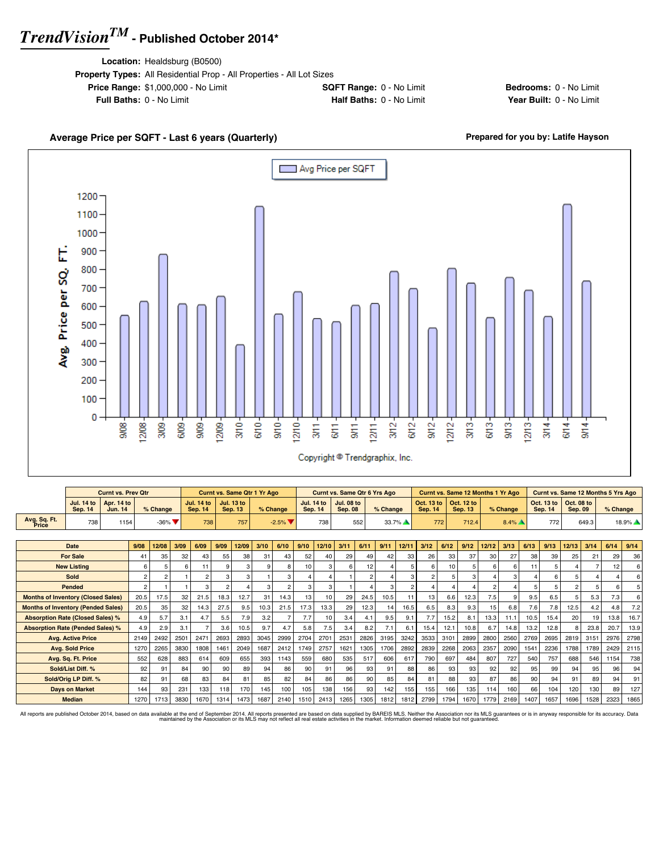**Location:** Healdsburg (B0500)

| <b>Property Types:</b> All Residential Prop - All Properties - All Lot Sizes |                               |  |
|------------------------------------------------------------------------------|-------------------------------|--|
| <b>Price Range: \$1,000,000 - No Limit</b>                                   | <b>SQFT Range: 0 - No Lin</b> |  |
| <b>Full Baths: 0 - No Limit</b>                                              | Half Baths: 0 - No Lir        |  |

**Price Range: Bedrooms:** 0 - No Limit **Full Baths:** 0 - No Limit **Half Baths:** 0 - No Limit **Year Built:** 0 - No Limit

### Avg Price per SQFT Г 1200 1100 1000 900

Avg. Price per SQ, FT. 800 700 600 500 400 300 200 100 0  $6/10 3<sup>13</sup>$  $12/08$ 3/09  $609 -$ 9/09 12/09- $3/10 9/10 -$ 12/10- $6/11$  $rac{1}{30}$  $1211 3/12 6/12$  $9/12 12/12 6/13 9/13$  $12/13 3/14$  $9008$  $3/11$  $6/14$  $9/14$ 

Average Price per SQFT - Last 6 years (Quarterly) **Average Price per SQFT - Last 6 years (Quarterly) Prepared for you by: Latife Hayson** 

#### Copyright <sup>@</sup> Trendgraphix, Inc.

|                                           |                                     | <b>Curnt vs. Prev Qtr</b> |                |                |      |                                     |      | Curnt vs. Same Qtr 1 Yr Ago         |      |                              |      |                                     |                                     |                | Curnt vs. Same Qtr 6 Yrs Ago |                |                              |      | Curnt vs. Same 12 Months 1 Yr Ago |       |          |      |                              |                              |       | Curnt vs. Same 12 Months 5 Yrs Ago |       |
|-------------------------------------------|-------------------------------------|---------------------------|----------------|----------------|------|-------------------------------------|------|-------------------------------------|------|------------------------------|------|-------------------------------------|-------------------------------------|----------------|------------------------------|----------------|------------------------------|------|-----------------------------------|-------|----------|------|------------------------------|------------------------------|-------|------------------------------------|-------|
|                                           | <b>Jul. 14 to</b><br><b>Sep. 14</b> | Apr. 14 to<br>Jun. 14     |                | % Change       |      | <b>Jul. 14 to</b><br><b>Sep. 14</b> |      | <b>Jul. 13 to</b><br><b>Sep. 13</b> |      | % Change                     |      | <b>Jul. 14 to</b><br><b>Sep. 14</b> | <b>Jul. 08 to</b><br><b>Sep. 08</b> |                | % Change                     |                | Oct. 13 to<br><b>Sep. 14</b> |      | Oct. 12 to<br><b>Sep. 13</b>      |       | % Change |      | Oct. 13 to<br><b>Sep. 14</b> | Oct. 08 to<br><b>Sep. 09</b> |       | % Change                           |       |
| Avg. Sq. Ft.<br>Price                     | 738                                 | 1154                      |                | $-36\%$        |      | 738                                 |      | 757                                 |      | $-2.5%$ $\blacktriangledown$ |      | 738                                 |                                     | 552            |                              | 33.7%          |                              | 772  | 712.4                             |       | $8.4\%$  |      | 772                          |                              | 649.3 |                                    | 18.9% |
|                                           |                                     |                           |                |                |      |                                     |      |                                     |      |                              |      |                                     |                                     |                |                              |                |                              |      |                                   |       |          |      |                              |                              |       |                                    |       |
|                                           | Date                                |                           | 9/08           | 12/08          | 3/09 | 6/09                                | 9/09 | 12/09                               | 3/10 | 6/10                         | 9/10 | 12/10                               | 3/11                                | 6/11           | 9/11                         | 12/11          | 3/12                         | 6/12 | 9/12                              | 12/12 | 3/13     | 6/13 | 9/13                         | 12/13                        | 3/14  | 6/14                               | 9/14  |
|                                           | <b>For Sale</b>                     |                           | 41             | 35             | 32   | 43                                  | 55   | 38                                  | 31   | 43                           | 52   | 40                                  | 29                                  | 49             | 42                           | 33             | 26                           | 33   | 37                                | 30    | 27       | 38   | 39                           | 25                           | 21    | 29                                 | 36    |
|                                           | <b>New Listing</b>                  |                           | 6              | 5              | 6    | 11                                  | 9    |                                     |      |                              | 10   | 3                                   | 6                                   | 12             | $\overline{a}$               | 5              | 6                            | 10   | 5                                 | 6     |          | 11   |                              |                              |       | 12                                 |       |
|                                           | Sold                                |                           | $\overline{2}$ | $\overline{2}$ |      | $\overline{c}$                      | 3    |                                     |      |                              |      |                                     |                                     | $\overline{2}$ | $\overline{\mathbf{A}}$      | 3              | $\overline{a}$               | 5    | 3                                 |       |          |      | ĥ                            | 5                            |       |                                    |       |
|                                           | Pended                              |                           | $\overline{2}$ |                |      | 3                                   | 2    |                                     | 3    |                              | 3    | 3                                   |                                     |                | 3                            | $\overline{a}$ |                              |      |                                   |       |          |      |                              | $\overline{2}$               |       | 6                                  |       |
| <b>Months of Inventory (Closed Sales)</b> |                                     |                           | 20.5           | 17.5           | 32   | 21.5                                | 18.3 | 12.7                                | 31   | 14.3                         | 13   | 10                                  | 29                                  | 24.5           | 10.5                         | 11             | 13                           | 6.6  | 12.3                              | 7.5   | 9        | 9.5  | 6.5                          | 5                            | 5.3   | 7.3                                |       |
| <b>Months of Inventory (Pended Sales)</b> |                                     |                           | 20.5           | 35             | 32   | 14.3                                | 27.5 | 9.5                                 | 10.3 | 21.5                         | 17.3 | 13.3                                | 29                                  | 12.3           | 14                           | 16.5           | 6.5                          | 8.3  | 9.3                               | 15    | 6.8      | 7.6  | 7.8                          | 12.5                         | 4.2   | 4.8                                | 7.2   |
| <b>Absorption Rate (Closed Sales) %</b>   |                                     |                           | 4.9            | 5.7            | 3.1  | 4.7                                 | 5.5  | 7.9                                 | 3.2  |                              | 7.7  | 10                                  | 3.4                                 | 4.1            | 9.5                          | 9.1            | 7.7                          | 15.2 | 8.1                               | 13.3  | 11.1     | 10.5 | 15.4                         | 20                           | 19    | 13.8                               | 16.7  |
| <b>Absorption Rate (Pended Sales) %</b>   |                                     |                           | 4.9            | 2.9            | 3.1  |                                     | 3.6  | 10.5                                | 9.7  | 4.7                          | 5.8  | 7.5                                 | 3.4                                 | 8.2            | 7.1                          | 6.1            | 15.4                         | 12.1 | 10.8                              | 6.7   | 14.8     | 13.2 | 12.8                         | 8                            | 23.8  | 20.7                               | 13.9  |
|                                           | <b>Avg. Active Price</b>            |                           | 2149           | 2492           | 2501 | 2471                                | 2693 | 2893                                | 3045 | 2999                         | 2704 | 2701                                | 2531                                | 2826           | 3195                         | 3242           | 3533                         | 3101 | 2899                              | 2800  | 2560     | 2769 | 2695                         | 2819                         | 3151  | 2976                               | 2798  |
|                                           | <b>Avg. Sold Price</b>              |                           | 1270           | 2265           | 3830 | 1808                                | 1461 | 2049                                | 1687 | 2412                         | 1749 | 2757                                | 1621                                | 1305           | 1706                         | 2892           | 2839                         | 2268 | 2063                              | 2357  | 2090     | 1541 | 2236                         | 1788                         | 1789  | 2429                               | 2115  |
|                                           | Avg. Sq. Ft. Price                  |                           | 552            | 628            | 883  | 614                                 | 609  | 655                                 | 393  | 1143                         | 559  | 680                                 | 535                                 | 517            | 606                          | 617            | 790                          | 697  | 484                               | 807   | 727      | 540  | 757                          | 688                          | 546   | 1154                               | 738   |
|                                           | Sold/List Diff. %                   |                           | 92             | 91             | 84   | 90                                  | 90   | 89                                  | 94   | 86                           | 90   | 91                                  | 96                                  | 93             | 91                           | 88             | 86                           | 93   | 93                                | 92    | 92       | 95   | 99                           | 94                           | 95    | 96                                 | 94    |
|                                           | Sold/Orig LP Diff. %                |                           | 82             | 91             | 68   | 83                                  | 84   | 81                                  | 85   | 82                           | 84   | 86                                  | 86                                  | 90             | 85                           | 84             | 81                           | 88   | 93                                | 87    | 86       | 90   | 94                           | 91                           | 89    | 94                                 | 91    |
|                                           | <b>Davs on Market</b>               |                           | 144            | 93             | 231  | 133                                 | 118  | 170                                 | 145  | 100                          | 105  | 138                                 | 156                                 | 93             | 142                          | 155            | 155                          | 166  | 135                               | 114   | 160      | 66   | 104                          | 120                          | 130   | 89                                 | 127   |
|                                           | <b>Median</b>                       |                           | 1270           | 1713           | 3830 | 1670                                | 1314 | 1473                                | 1687 | 2140                         | 1510 | 2413                                | 1265                                | 1305           | 1812                         | 1812           | 2799                         | 1794 | 1670                              | 1779  | 2169     | 1407 | 1657                         | 1696                         | 1528  | 2323                               | 1865  |

All reports are published October 2014, based on data available at the end of September 2014. All reports presented are based on data avaindanced by the Association or its MLS may not reflect all real estate activities in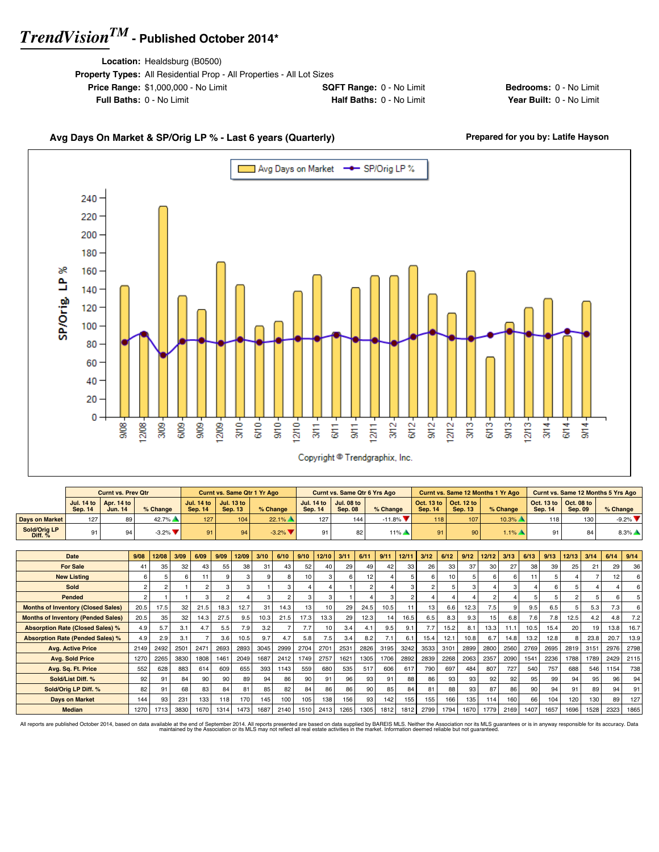**Location:** Healdsburg (B0500)

| <b>Property Types:</b> All Residential Prop - All Properties - All Lot Sizes |                                 |
|------------------------------------------------------------------------------|---------------------------------|
| <b>Price Range: \$1,000,000 - No Limit</b>                                   | <b>SQFT Range: 0 - No Limit</b> |
| <b>Full Baths: 0 - No Limit</b>                                              | <b>Half Baths: 0 - No Limit</b> |

**Bedrooms:** 0 - No Limit **Year Built: 0 - No Limit** 

### Avg Days On Market & SP/Orig LP % - Last 6 years (Quarterly) **Prepared for you by: Latife Hayson**





|                           |         | Curnt vs. Prev Otr                                      |                               |                | <b>Curnt vs. Same Qtr 1 Yr Ago</b>          |                              |                                | <b>Curnt vs. Same Qtr 6 Yrs Ago</b> |                    |                |                                                                 | <b>Curnt vs. Same 12 Months 1 Yr Ago</b> |                |                                                                 | Curnt vs. Same 12 Months 5 Yrs Ago |
|---------------------------|---------|---------------------------------------------------------|-------------------------------|----------------|---------------------------------------------|------------------------------|--------------------------------|-------------------------------------|--------------------|----------------|-----------------------------------------------------------------|------------------------------------------|----------------|-----------------------------------------------------------------|------------------------------------|
|                           | Sep. 14 | Jul. 14 to $\vert$ Apr. 14 to $\vert$<br><b>Jun. 14</b> | % Change                      | <b>Sep. 14</b> | Jul. 14 to   Jul. 13 to  <br><b>Sep. 13</b> | % Change                     | Jul. 14 to 1<br><b>Sep. 14</b> | <b>Jul. 08 to</b><br><b>Sep. 08</b> | $%$ Change         | <b>Sep. 14</b> | $\vert$ Oct. 13 to $\vert$ Oct. 12 to $\vert$<br><b>Sep. 13</b> | % Change                                 | <b>Sep. 14</b> | $\vert$ Oct. 13 to $\vert$ Oct. 08 to $\vert$<br><b>Sep. 09</b> | $%$ Change                         |
| Days on Market            | 127     | 89 I                                                    | 42.7%                         | 127            | 104 <sub>1</sub>                            | $22.1\%$                     | 127                            | 144                                 | $-11.8\%$          | 118            | 107                                                             | $10.3\%$ $\blacksquare$                  | 118            | 130                                                             | $-9.2\%$ $\blacktriangledown$      |
| Sold/Oria LP<br>Diff. $%$ | 91      |                                                         | $-3.2\%$ $\blacktriangledown$ |                | 94                                          | $-3.2%$ $\blacktriangledown$ |                                |                                     | $11\%$ $\triangle$ |                | 90                                                              | $1.1\%$ $\triangle$                      | 91             | 84                                                              | $8.3\%$ $\triangle$                |

| Date                                      | 9/08 | 12/08          | 3/09 | 6/09 | 9/09 | 12/09 | 3/10     | 6/10 | 9/10             | 12/10 | 3/11 | 6/11           | 9/11 | 12/11 | 3/12 | 6/12 | 9/12 | 12/12 | 3/13 | 6/13 | 9/13 | 12/13 | 3/14 | 6/14 | 9/14 |
|-------------------------------------------|------|----------------|------|------|------|-------|----------|------|------------------|-------|------|----------------|------|-------|------|------|------|-------|------|------|------|-------|------|------|------|
| <b>For Sale</b>                           | 41   | 35             | 32   | 43   | 55   | 38    | 31       | 43   | 52               | 40    | 29   | 49             | 42   | 33    | 26   | 33   | 37   | 30    | 27   | 38   | 39   | 25    | 21   | 29   | 36   |
| <b>New Listing</b>                        |      | 5              | 6    |      |      |       | $\Omega$ | 8    | 10 <sub>1</sub>  | 3     | 6    | 12             |      |       |      | 10   |      | 6     | 6    |      |      |       |      | 12   |      |
| <b>Sold</b>                               |      | $\overline{c}$ |      |      |      |       |          |      |                  |       |      | $\mathfrak{p}$ |      |       |      |      |      |       | 3    |      |      |       |      |      |      |
| Pended                                    |      |                |      |      |      |       |          |      | 3                | 3     |      |                |      |       |      |      |      |       |      |      |      |       |      |      |      |
| <b>Months of Inventory (Closed Sales)</b> | 20.5 | 17.5           | 32   | 21.5 | 18.3 | 12.7  | 31       | 14.3 | 13 <sub>1</sub>  | 10    | 29   | 24.5           | 10.5 | 11    | 13   | 6.6  | 12.3 | 7.5   | 9    | 9.5  | 6.5  |       | 5.3  | 7.3  |      |
| <b>Months of Inventory (Pended Sales)</b> | 20.5 | 35             | 32   | 14.3 | 27.5 | 9.5   | 10.3     | 21.5 | 17.3             | 13.3  | 29   | 12.3           | 14   | 16.5  | 6.5  | 8.3  | 9.3  | 15    | 6.8  | 7.6  | 7.8  | 12.5  | 4.2  | 4.8  | 7.2  |
| <b>Absorption Rate (Closed Sales) %</b>   | 4.9  | 5.7            | 3.1  | 4.7  | 5.5  | 7.9   | 3.2      |      | 7.7              | 10    | 3.4  | 4.1            | 9.5  | 9.1   | 7.7  | 15.2 | 8.1  | 13.3  | 11.1 | 10.5 | 15.4 | 20    | 19   | 13.8 | 16.7 |
| <b>Absorption Rate (Pended Sales) %</b>   | 4.9  | 2.9            | 3.1  |      | 3.6  | 10.5  | 9.7      | 4.7  | 5.8              | 7.5   | 3.4  | 8.2            | 7.1  | 6.1   | 15.4 | 12.1 | 10.8 | 6.7   | 14.8 | 13.2 | 12.8 |       | 23.8 | 20.7 | 13.9 |
| <b>Avg. Active Price</b>                  | 2149 | 2492           | 2501 | 2471 | 2693 | 2893  | 3045     | 2999 | 2704             | 2701  | 2531 | 2826           | 3195 | 3242  | 3533 | 3101 | 2899 | 2800  | 2560 | 2769 | 2695 | 2819  | 3151 | 2976 | 2798 |
| <b>Avg. Sold Price</b>                    | 1270 | 2265           | 3830 | 1808 | 1461 | 2049  | 1687     | 2412 | 1749             | 2757  | 1621 | 1305           | 1706 | 2892  | 2839 | 2268 | 2063 | 2357  | 2090 | 1541 | 2236 | 1788  | 1789 | 2429 | 2115 |
| Avg. Sq. Ft. Price                        | 552  | 628            | 883  | 614  | 609  | 655   | 393      | 1143 | 559              | 680   | 535  | 517            | 606  | 617   | 790  | 697  | 484  | 807   | 727  | 540  | 757  | 688   | 546  | 1154 | 738  |
| Sold/List Diff. %                         | 92   | 91             | 84   | 90   | 90   | 89    | 94       | 86   | 90               | 91    | 96   | 93             | 91   | 88    | 86   | 93   | 93   | 92    | 92   | 95   | 99   | 94    | 95   | 96   | 94   |
| Sold/Orig LP Diff. %                      | 82   | 91             | 68   | 83   | 84   | 81    | 85       | 82   | 84               | 86    | 86   | 90             | 85   | 84    | 81   | 88   | 93   | 87    | 86   | 90   | 94   | 91    | 89   | 94   | 91   |
| <b>Days on Market</b>                     | 144  | 93             | 231  | 133  | 118  | 170   | 145      | 100  | 105 <sub>1</sub> | 138   | 156  | 93             | 142  | 155   | 155  | 166  | 135  | 114   | 160  | 66   | 104  | 120   | 130  | 89   | 127  |
| <b>Median</b>                             | 1270 | 1713           | 3830 | 1670 | 1314 | 1473  | 1687     | 2140 | 1510             | 2413  | 1265 | 1305           | 1812 | 1812  | 2799 | 1794 | 1670 | 1779  | 2169 | 1407 | 1657 | 1696  | 1528 | 2323 | 1865 |

All reports are published October 2014, based on data available at the end of September 2014. All reports presented are based on data avapplied by the Association or its MLS may not reflect all real estate activities in th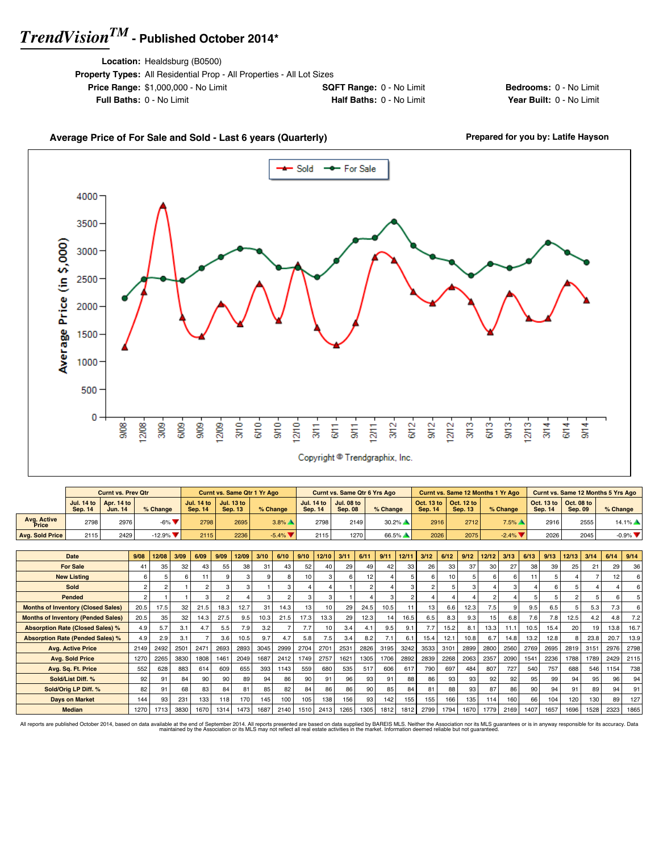**Location:** Healdsburg (B0500)

| <b>Price Range: \$1,000,000 - No Limit</b><br><b>SQFT Range: 0 - No Limit</b> |
|-------------------------------------------------------------------------------|
|                                                                               |
| Half Baths: 0 - No Limit<br><b>Full Baths: 0 - No Limit</b>                   |

**Bedrooms:** 0 - No Limit **Year Built: 0 - No Limit** 

#### Average Price of For Sale and Sold - Last 6 years (Quarterly) **Prepared for you by: Latife Hayson** Sold -- For Sale 4000 3500 Average Price (in \$,000) 3000 2500 2000 1500 1000 500 0  $\frac{8}{30}$ 12/08  $370 -$ G/10- $\frac{1}{3}$  $12110$  $3/12$  $6/12$  $12/12$  $3/13$ 6/13  $\frac{8}{3}$  $1213$  $309.$  $609.$  $rac{9}{20}$ 2/09  $rac{2}{3}$  $3/14$  $\frac{1}{10}$  $rac{1}{9}$  $1271$  $9/14$  $\frac{1}{3}$  $6/14$ Copyright <sup>@</sup> Trendgraphix, Inc.

|                        |                | <b>Curnt vs. Prev Qtr</b>                               |                                |         | <b>Curnt vs. Same Qtr 1 Yr Ago</b>                      |          |                | <b>Curnt vs. Same Qtr 6 Yrs Ago</b>         |            |                |                                                                 | <b>Curnt vs. Same 12 Months 1 Yr Ago</b> |                |                                                         | Curnt vs. Same 12 Months 5 Yrs Ago |
|------------------------|----------------|---------------------------------------------------------|--------------------------------|---------|---------------------------------------------------------|----------|----------------|---------------------------------------------|------------|----------------|-----------------------------------------------------------------|------------------------------------------|----------------|---------------------------------------------------------|------------------------------------|
|                        | <b>Sep. 14</b> | Jul. 14 to $\vert$ Apr. 14 to $\vert$<br><b>Jun. 14</b> | % Change                       | Sep. 14 | Jul. 14 to $\vert$ Jul. 13 to $\vert$<br><b>Sep. 13</b> | % Change | <b>Sep. 14</b> | Jul. 14 to   Jul. 08 to  <br><b>Sep. 08</b> | $%$ Change | <b>Sep. 14</b> | $\vert$ Oct. 13 to $\vert$ Oct. 12 to $\vert$<br><b>Sep. 13</b> | % Change                                 | <b>Sep. 14</b> | Oct. 13 to $\vert$ Oct. 08 to $\vert$<br><b>Sep. 09</b> | $%$ Change                         |
| Avg. Active<br>Price   | 2798           | 2976                                                    | $-6\%$ $\blacktriangledown$    | 27981   | 2695                                                    | $3.8\%$  | 2798           | 2149                                        | $30.2\%$   | 2916           | 2712                                                            | $7.5\%$ $\triangle$                      | 2916           | 2555                                                    | $14.1\%$ $\triangle$               |
| <b>Avg. Sold Price</b> | 21151          | 2429                                                    | $-12.9\%$ $\blacktriangledown$ | 2115    | 2236                                                    | $-5.4\%$ | 2115           | 1270                                        | 66.5%      | 2026           | 2075                                                            | $-2.4\%$                                 | 2026           | 2045                                                    | $-0.9\%$ $\nabla$                  |

| <b>Date</b>                               | 9/08           | 12/08          | 3/09 | 6/09         | 9/09             | 12/09 | 3/10 | 6/10 | 9/10 | 12/10 | 3/11 | 6/11             | 9/11 | 12/11 | 3/12 | 6/12 | 9/12 | 12/12 | 3/13 | 6/13 | 9/13 | 12/13           | 3/14 | 6/14 | 9/14           |
|-------------------------------------------|----------------|----------------|------|--------------|------------------|-------|------|------|------|-------|------|------------------|------|-------|------|------|------|-------|------|------|------|-----------------|------|------|----------------|
| <b>For Sale</b>                           | 41             | 35             | 32   | 43           | 55               | 38    | 31   | 43   | 52   | 40    | 29   | 49               | 42   | 33    | 26   | 33   | 37   | 30    | 27   | 38   | 39   | 25              | 21   | 29   | 36             |
| <b>New Listing</b>                        | 6              |                | 6    | $\mathbf{1}$ |                  |       |      | 8    | 10   | з     | 6    | 12               |      |       |      | 10   |      | ĥ     | 6    |      | 5    |                 |      | 12   | 6              |
| Sold                                      | $\mathfrak{p}$ | $\mathfrak{p}$ |      |              |                  |       |      | 3    |      |       |      | $\mathbf{2}$     |      |       |      |      |      |       | 3    |      | 6    |                 |      |      | 6              |
| Pended                                    | $\mathfrak{p}$ |                |      |              |                  |       |      |      |      | 3     |      |                  |      |       |      |      |      | 2     |      |      | 5    |                 |      |      | 5 <sup>1</sup> |
| <b>Months of Inventory (Closed Sales)</b> | 20.5           | 17.5           | 32   | 21.5         | 18.3             | 12.7  | 31   | 14.3 | 13   | 10    | 29   | 24.5             | 10.5 | 11    | 13   | 6.6  | 12.3 | 7.5   | 9    | 9.5  | 6.5  |                 | 5.3  | 7.3  | 6              |
| <b>Months of Inventory (Pended Sales)</b> | 20.5           | 35             | 32   | 14.3         | 27.5             | 9.5   | 10.3 | 21.5 | 17.3 | 13.3  | 29   | 12.3             | 14   | 16.5  | 6.5  | 8.3  | 9.3  | 15    | 6.8  | 7.6  | 7.8  | 12.5            | 4.2  | 4.8  | 7.2            |
| <b>Absorption Rate (Closed Sales) %</b>   | 4.9            | 5.7            | 3.1  | 4.7          | 5.5              | 7.9   | 3.2  |      | 7.7  | 10    | 3.4  | 4.1              | 9.5  | 9.1   | 7.7  | 15.2 | 8.1  | 13.3  | 11.1 | 10.5 | 15.4 | 20 <sub>1</sub> | 19   | 13.8 | 16.7           |
| <b>Absorption Rate (Pended Sales) %</b>   | 4.9            | 2.9            | 3.1  |              | 3.6 <sub>1</sub> | 10.5  | 9.7  | 4.7  | 5.8  | 7.5   | 3.4  | 8.2 <sub>1</sub> | 7.1  | 6.1   | 15.4 | 12.1 | 10.8 | 6.7   | 14.8 | 13.2 | 12.8 |                 | 23.8 | 20.7 | 13.9           |
| <b>Avg. Active Price</b>                  | 2149           | 2492           | 2501 | 2471         | 2693             | 2893  | 3045 | 2999 | 2704 | 2701  | 2531 | 2826             | 3195 | 3242  | 3533 | 3101 | 2899 | 2800  | 2560 | 2769 | 2695 | 2819            | 3151 | 2976 | 2798           |
| <b>Avg. Sold Price</b>                    | 1270           | 2265           | 3830 | 1808         | 1461             | 2049  | 1687 | 2412 | 1749 | 2757  | 1621 | 1305             | 1706 | 2892  | 2839 | 2268 | 2063 | 2357  | 2090 | 1541 | 2236 | 1788            | 1789 | 2429 | 2115           |
| Avg. Sq. Ft. Price                        | 552            | 628            | 883  | 614          | 609              | 655   | 393  | 1143 | 559  | 680   | 535  | 517              | 606  | 617   | 790  | 697  | 484  | 807   | 727  | 540  | 757  | 688             | 546  | 1154 | 738            |
| Sold/List Diff. %                         | 92             | 91             | 84   | 90           | 90               | 89    | 94   | 86   | 90   | 91    | 96   | 93               | 91   | 88    | 86   | 93   | 93   | 92    | 92   | 95   | 99   | 94              | 95   | 96   | 94             |
| Sold/Orig LP Diff. %                      | 82             | 91             | 68   | 83           | 84               | 81    | 85   | 82   | 84   | 86    | 86   | 90               | 85   | 84    | 81   | 88   | 93   | 87    | 86   | 90   | 94   | 91              | 89   | 94   | 91             |
| <b>Days on Market</b>                     | 144            | 93             | 231  | 133          | 118              | 170   | 145  | 100  | 105  | 138   | 156  | 93               | 142  | 155   | 155  | 166  | 135  | 114   | 160  | 66   | 104  | 120             | 130  | 89   | 127            |
| <b>Median</b>                             | 1270           | 1713           | 3830 | 1670         | 1314             | 1473  | 1687 | 2140 | 1510 | 2413  | 1265 | 1305             | 1812 | 1812  | 2799 | 1794 | 1670 | 1779  | 2169 | 1407 | 1657 | 1696            | 1528 | 2323 | 1865           |

All reports are published October 2014, based on data available at the end of September 2014. All reports presented are based on data avapplied by the Association or its MLS may not reflect all real estate activities in th